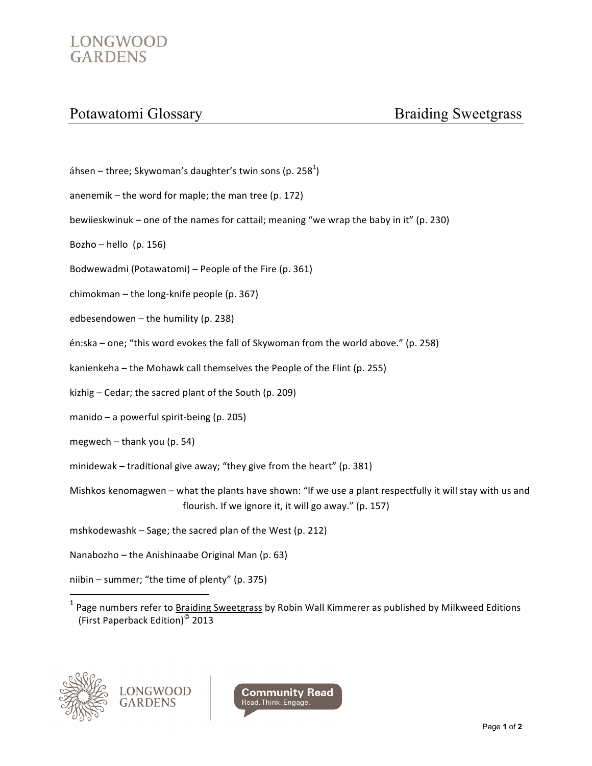## LONGWOOD **GARDENS**

## Potawatomi Glossary

- áhsen three; Skywoman's daughter's twin sons (p. 258<sup>1</sup>)
- anenemik  $-$  the word for maple; the man tree (p. 172)
- bewiieskwinuk one of the names for cattail; meaning "we wrap the baby in it" (p. 230)
- Bozho hello (p. 156)
- Bodwewadmi (Potawatomi) People of the Fire (p. 361)
- chimokman the long-knife people (p. 367)
- edbesendowen the humility (p. 238)
- én:ska one; "this word evokes the fall of Skywoman from the world above." (p. 258)
- kanienkeha the Mohawk call themselves the People of the Flint (p. 255)
- kizhig Cedar; the sacred plant of the South (p. 209)
- manido a powerful spirit-being (p. 205)
- megwech  $-$  thank you (p. 54)
- minidewak traditional give away; "they give from the heart" (p. 381)
- Mishkos kenomagwen what the plants have shown: "If we use a plant respectfully it will stay with us and flourish. If we ignore it, it will go away." (p. 157)
- mshkodewashk Sage; the sacred plan of the West (p. 212)
- Nanabozho the Anishinaabe Original Man (p. 63)
- niibin summer; "the time of plenty" (p. 375)
- $1$  Page numbers refer to **Braiding Sweetgrass** by Robin Wall Kimmerer as published by Milkweed Editions (First Paperback Edition)<sup>©</sup> 2013